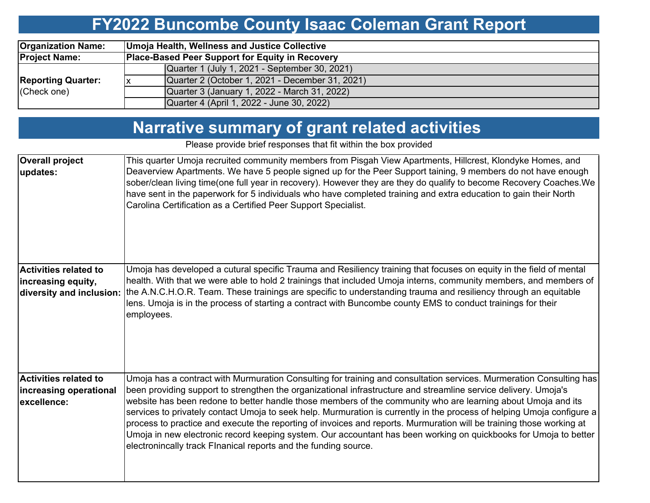# **FY2022 Buncombe County Isaac Coleman Grant Report**

| <b>Organization Name:</b>                | Umoja Health, Wellness and Justice Collective |                                                        |  |  |  |  |  |  |
|------------------------------------------|-----------------------------------------------|--------------------------------------------------------|--|--|--|--|--|--|
| <b>Project Name:</b>                     |                                               | <b>Place-Based Peer Support for Equity in Recovery</b> |  |  |  |  |  |  |
| <b>Reporting Quarter:</b><br>(Check one) |                                               | Quarter 1 (July 1, 2021 - September 30, 2021)          |  |  |  |  |  |  |
|                                          |                                               | Quarter 2 (October 1, 2021 - December 31, 2021)        |  |  |  |  |  |  |
|                                          |                                               | Quarter 3 (January 1, 2022 - March 31, 2022)           |  |  |  |  |  |  |
|                                          |                                               | Quarter 4 (April 1, 2022 - June 30, 2022)              |  |  |  |  |  |  |

## **Narrative summary of grant related activities**

Please provide brief responses that fit within the box provided

| <b>Overall project</b><br>updates:                                             | This quarter Umoja recruited community members from Pisgah View Apartments, Hillcrest, Klondyke Homes, and<br>Deaverview Apartments. We have 5 people signed up for the Peer Support taining, 9 members do not have enough<br>sober/clean living time(one full year in recovery). However they are they do qualify to become Recovery Coaches. We<br>have sent in the paperwork for 5 individuals who have completed training and extra education to gain their North<br>Carolina Certification as a Certified Peer Support Specialist.                                                                                                                                                                                                                                                         |
|--------------------------------------------------------------------------------|-------------------------------------------------------------------------------------------------------------------------------------------------------------------------------------------------------------------------------------------------------------------------------------------------------------------------------------------------------------------------------------------------------------------------------------------------------------------------------------------------------------------------------------------------------------------------------------------------------------------------------------------------------------------------------------------------------------------------------------------------------------------------------------------------|
| <b>Activities related to</b><br>increasing equity,<br>diversity and inclusion: | Umoja has developed a cutural specific Trauma and Resiliency training that focuses on equity in the field of mental<br>health. With that we were able to hold 2 trainings that included Umoja interns, community members, and members of<br>the A.N.C.H.O.R. Team. These trainings are specific to understanding trauma and resiliency through an equitable<br>lens. Umoja is in the process of starting a contract with Buncombe county EMS to conduct trainings for their<br>employees.                                                                                                                                                                                                                                                                                                       |
| <b>Activities related to</b><br>increasing operational<br>excellence:          | Umoja has a contract with Murmuration Consulting for training and consultation services. Murmeration Consulting has<br>been providing support to strengthen the organizational infrastructure and streamline service delivery. Umoja's<br>website has been redone to better handle those members of the community who are learning about Umoja and its<br>services to privately contact Umoja to seek help. Murmuration is currently in the process of helping Umoja configure a<br>process to practice and execute the reporting of invoices and reports. Murmuration will be training those working at<br>Umoja in new electronic record keeping system. Our accountant has been working on quickbooks for Umoja to better<br>electronincally track Flnanical reports and the funding source. |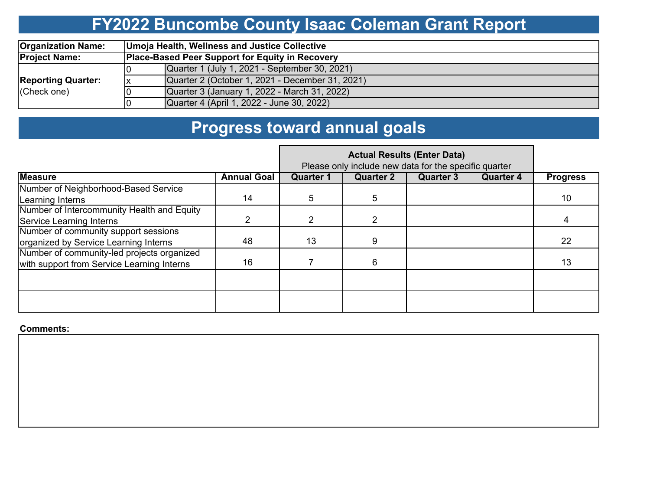# **FY2022 Buncombe County Isaac Coleman Grant Report**

| <b>Organization Name:</b> | Umoja Health, Wellness and Justice Collective          |                                                 |  |  |  |  |  |  |
|---------------------------|--------------------------------------------------------|-------------------------------------------------|--|--|--|--|--|--|
| <b>Project Name:</b>      | <b>Place-Based Peer Support for Equity in Recovery</b> |                                                 |  |  |  |  |  |  |
|                           |                                                        | Quarter 1 (July 1, 2021 - September 30, 2021)   |  |  |  |  |  |  |
| <b>Reporting Quarter:</b> |                                                        | Quarter 2 (October 1, 2021 - December 31, 2021) |  |  |  |  |  |  |
| (Check one)               |                                                        | Quarter 3 (January 1, 2022 - March 31, 2022)    |  |  |  |  |  |  |
|                           |                                                        | Quarter 4 (April 1, 2022 - June 30, 2022)       |  |  |  |  |  |  |

# **Progress toward annual goals**

|                                            | Please only include new data for the specific quarter |                  |                  |                  |                  |                 |
|--------------------------------------------|-------------------------------------------------------|------------------|------------------|------------------|------------------|-----------------|
| <b>Measure</b>                             | <b>Annual Goal</b>                                    | <b>Quarter 1</b> | <b>Quarter 2</b> | <b>Quarter 3</b> | <b>Quarter 4</b> | <b>Progress</b> |
| Number of Neighborhood-Based Service       |                                                       |                  |                  |                  |                  |                 |
| Learning Interns                           | 14                                                    | 5                | 5                |                  |                  | 10              |
| Number of Intercommunity Health and Equity |                                                       |                  |                  |                  |                  |                 |
| Service Learning Interns                   |                                                       |                  |                  |                  |                  | 4               |
| Number of community support sessions       |                                                       |                  |                  |                  |                  |                 |
| organized by Service Learning Interns      | 48                                                    | 13               | 9                |                  |                  | 22              |
| Number of community-led projects organized |                                                       |                  |                  |                  |                  |                 |
| with support from Service Learning Interns | 16                                                    |                  | 6.               |                  |                  | 13              |
|                                            |                                                       |                  |                  |                  |                  |                 |
|                                            |                                                       |                  |                  |                  |                  |                 |

**Comments:**